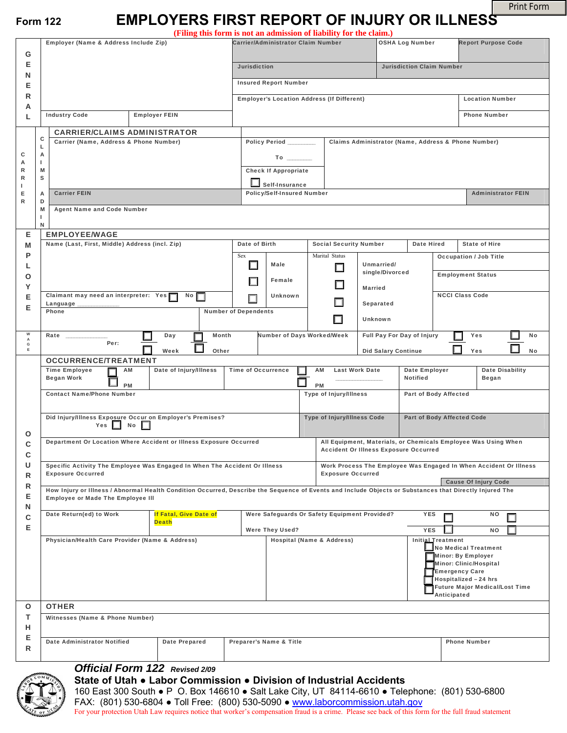Print Form

# **Form 122 EMPLOYERS FIRST REPORT OF INJURY OR ILLNESS**

|                  |                                                                                                                                                         |                                        | (Filing this form is not an admission of liability for the claim.)           |                                                              |                                               |                               |                                                                     |                                                                 |                               |  |  |  |
|------------------|---------------------------------------------------------------------------------------------------------------------------------------------------------|----------------------------------------|------------------------------------------------------------------------------|--------------------------------------------------------------|-----------------------------------------------|-------------------------------|---------------------------------------------------------------------|-----------------------------------------------------------------|-------------------------------|--|--|--|
|                  | Employer (Name & Address Include Zip)                                                                                                                   |                                        |                                                                              | Carrier/Administrator Claim Number<br><b>OSHA Log Number</b> |                                               |                               |                                                                     |                                                                 | <b>Report Purpose Code</b>    |  |  |  |
| G<br>Е           |                                                                                                                                                         |                                        |                                                                              |                                                              |                                               |                               |                                                                     |                                                                 |                               |  |  |  |
| Ν                |                                                                                                                                                         |                                        |                                                                              | <b>Jurisdiction</b>                                          |                                               |                               |                                                                     | <b>Jurisdiction Claim Number</b>                                |                               |  |  |  |
| Е                |                                                                                                                                                         |                                        |                                                                              | <b>Insured Report Number</b>                                 |                                               |                               |                                                                     |                                                                 |                               |  |  |  |
| R<br>А           |                                                                                                                                                         |                                        |                                                                              | <b>Employer's Location Address (If Different)</b>            |                                               |                               |                                                                     | <b>Location Number</b>                                          |                               |  |  |  |
| L                | <b>Industry Code</b>                                                                                                                                    | <b>Employer FEIN</b>                   |                                                                              |                                                              |                                               |                               |                                                                     | <b>Phone Number</b>                                             |                               |  |  |  |
| с<br>г           | <b>CARRIER/CLAIMS ADMINISTRATOR</b>                                                                                                                     |                                        |                                                                              |                                                              |                                               |                               |                                                                     |                                                                 |                               |  |  |  |
|                  | Carrier (Name, Address & Phone Number)                                                                                                                  |                                        | Claims Administrator (Name, Address & Phone Number)<br>Policy Period _______ |                                                              |                                               |                               |                                                                     |                                                                 |                               |  |  |  |
| с<br>А           | А<br>I.                                                                                                                                                 |                                        |                                                                              |                                                              |                                               |                               |                                                                     |                                                                 |                               |  |  |  |
| R<br>R           | M<br>s                                                                                                                                                  |                                        | <b>Check If Appropriate</b>                                                  |                                                              |                                               |                               |                                                                     |                                                                 |                               |  |  |  |
| L.               |                                                                                                                                                         |                                        |                                                                              | Self-Insurance<br><b>Policy/Self-Insured Number</b>          |                                               |                               |                                                                     | <b>Administrator FEIN</b>                                       |                               |  |  |  |
| Е<br>R           | <b>Carrier FEIN</b><br>A<br>D                                                                                                                           |                                        |                                                                              |                                                              |                                               |                               |                                                                     |                                                                 |                               |  |  |  |
|                  | <b>Agent Name and Code Number</b><br>M<br>L                                                                                                             |                                        |                                                                              |                                                              |                                               |                               |                                                                     |                                                                 |                               |  |  |  |
| N<br>Е           | <b>EMPLOYEE/WAGE</b>                                                                                                                                    |                                        |                                                                              |                                                              |                                               |                               |                                                                     |                                                                 |                               |  |  |  |
| M                | Name (Last, First, Middle) Address (incl. Zip)                                                                                                          |                                        |                                                                              | Date of Birth<br><b>Social Security Number</b>               |                                               |                               | <b>Date Hired</b><br><b>State of Hire</b>                           |                                                                 |                               |  |  |  |
| P                |                                                                                                                                                         |                                        | Sex                                                                          |                                                              | Marital Status                                |                               |                                                                     | <b>Occupation / Job Title</b>                                   |                               |  |  |  |
| L<br>О           |                                                                                                                                                         |                                        |                                                                              | Male                                                         |                                               | Unmarried/<br>single/Divorced |                                                                     | <b>Employment Status</b>                                        |                               |  |  |  |
| Υ                |                                                                                                                                                         |                                        |                                                                              | Female                                                       |                                               | <b>Married</b>                |                                                                     |                                                                 |                               |  |  |  |
| Е                | Claimant may need an interpreter: Yes<br>$N$ o                                                                                                          |                                        |                                                                              | <b>Unknown</b>                                               |                                               | Separated                     |                                                                     |                                                                 | <b>NCCI Class Code</b>        |  |  |  |
| Е                | Language<br><b>Number of Dependents</b><br>Phone                                                                                                        |                                        |                                                                              |                                                              |                                               |                               |                                                                     |                                                                 |                               |  |  |  |
|                  |                                                                                                                                                         |                                        |                                                                              |                                                              |                                               | <b>Unknown</b>                |                                                                     |                                                                 |                               |  |  |  |
| w<br>А<br>G<br>E | Rate<br>Per:                                                                                                                                            | Month<br>Day<br>Week<br>Other          |                                                                              | Number of Days Worked/Week                                   |                                               | <b>Did Salary Continue</b>    | Full Pay For Day of Injury                                          |                                                                 | Yes<br>No<br><b>No</b><br>Yes |  |  |  |
| О<br>с<br>С<br>U | <b>OCCURRENCE/TREATMENT</b>                                                                                                                             |                                        |                                                                              |                                                              |                                               |                               |                                                                     |                                                                 |                               |  |  |  |
|                  | Date of Injury/Illness<br><b>Time Employee</b><br>AM<br><b>Began Work</b>                                                                               |                                        |                                                                              | <b>Time of Occurrence</b><br><b>Last Work Date</b><br>АM     |                                               |                               | <b>Date Disability</b><br>Date Employer<br><b>Notified</b><br>Began |                                                                 |                               |  |  |  |
|                  | <b>PM</b><br><b>Contact Name/Phone Number</b>                                                                                                           |                                        |                                                                              | <b>PM</b>                                                    |                                               |                               | Part of Body Affected                                               |                                                                 |                               |  |  |  |
|                  |                                                                                                                                                         |                                        |                                                                              | <b>Type of Injury/Illness</b>                                |                                               |                               |                                                                     |                                                                 |                               |  |  |  |
|                  | Did Injury/Illness Exposure Occur on Employer's Premises?                                                                                               |                                        |                                                                              | <b>Type of Injury/Illness Code</b>                           |                                               |                               | <b>Part of Body Affected Code</b>                                   |                                                                 |                               |  |  |  |
|                  | Yes $\Box$<br>No<br>ш                                                                                                                                   |                                        |                                                                              |                                                              |                                               |                               |                                                                     |                                                                 |                               |  |  |  |
|                  | Department Or Location Where Accident or Illness Exposure Occurred                                                                                      |                                        |                                                                              | <b>Accident Or Illness Exposure Occurred</b>                 |                                               |                               |                                                                     | All Equipment, Materials, or Chemicals Employee Was Using When  |                               |  |  |  |
|                  | Specific Activity The Employee Was Engaged In When The Accident Or Illness                                                                              |                                        |                                                                              |                                                              |                                               |                               | Work Process The Employee Was Engaged In When Accident Or Illness   |                                                                 |                               |  |  |  |
| R                | <b>Exposure Occurred</b>                                                                                                                                |                                        |                                                                              | <b>Exposure Occurred</b>                                     |                                               |                               |                                                                     | <b>Cause Of Injury Code</b>                                     |                               |  |  |  |
| R                | How Injury or Illness / Abnormal Health Condition Occurred, Describe the Sequence of Events and Include Objects or Substances that Directly Injured The |                                        |                                                                              |                                                              |                                               |                               |                                                                     |                                                                 |                               |  |  |  |
| Е<br>Ν           | <b>Employee or Made The Employee III</b>                                                                                                                |                                        |                                                                              |                                                              |                                               |                               |                                                                     |                                                                 |                               |  |  |  |
| с<br>Е           | Date Return(ed) to Work                                                                                                                                 | If Fatal, Give Date of<br><b>Death</b> |                                                                              |                                                              | Were Safeguards Or Safety Equipment Provided? |                               | <b>YES</b>                                                          |                                                                 | ΝO<br>囗                       |  |  |  |
|                  |                                                                                                                                                         |                                        |                                                                              | Were They Used?                                              |                                               |                               |                                                                     |                                                                 | <b>NO</b>                     |  |  |  |
|                  | Physician/Health Care Provider (Name & Address)                                                                                                         |                                        |                                                                              | Hospital (Name & Address)                                    |                                               |                               |                                                                     | <b>Initial</b> Treatment<br>$\blacksquare$ No Medical Treatment |                               |  |  |  |
|                  |                                                                                                                                                         |                                        |                                                                              |                                                              |                                               |                               | Minor: By Employer<br>Minor: Clinic/Hospital                        |                                                                 |                               |  |  |  |
|                  |                                                                                                                                                         |                                        |                                                                              |                                                              |                                               |                               | <b>Emergency Care</b><br>Hospitalized - 24 hrs                      |                                                                 |                               |  |  |  |
|                  |                                                                                                                                                         |                                        |                                                                              |                                                              |                                               |                               | <b>Future Major Medical/Lost Time</b><br>Anticipated                |                                                                 |                               |  |  |  |
| O                | <b>OTHER</b>                                                                                                                                            |                                        |                                                                              |                                                              |                                               |                               |                                                                     |                                                                 |                               |  |  |  |
| т                | Witnesses (Name & Phone Number)                                                                                                                         |                                        |                                                                              |                                                              |                                               |                               |                                                                     |                                                                 |                               |  |  |  |
| н                |                                                                                                                                                         |                                        |                                                                              |                                                              |                                               |                               |                                                                     |                                                                 |                               |  |  |  |
| Е<br>R           | <b>Date Administrator Notified</b><br><b>Date Prepared</b><br>Preparer's Name & Title                                                                   |                                        |                                                                              |                                                              |                                               |                               |                                                                     | <b>Phone Number</b>                                             |                               |  |  |  |
|                  | Afficial Form 422                                                                                                                                       |                                        |                                                                              |                                                              |                                               |                               |                                                                     |                                                                 |                               |  |  |  |

#### *Official Form 122 Revised 2/09*



### **State of Utah ● Labor Commission ● Division of Industrial Accidents**

160 East 300 South ● P O. Box 146610 ● Salt Lake City, UT 84114-6610 ● Telephone: (801) 530-6800 FAX: (801) 530-6804 ● Toll Free: (800) 530-5090 ● [www.laborcommission.utah.gov](http://www.laborcommission.utah.gov/) For your protection Utah Law requires notice that worker's compensation fraud is a crime. Please see back of this form for the full fraud statement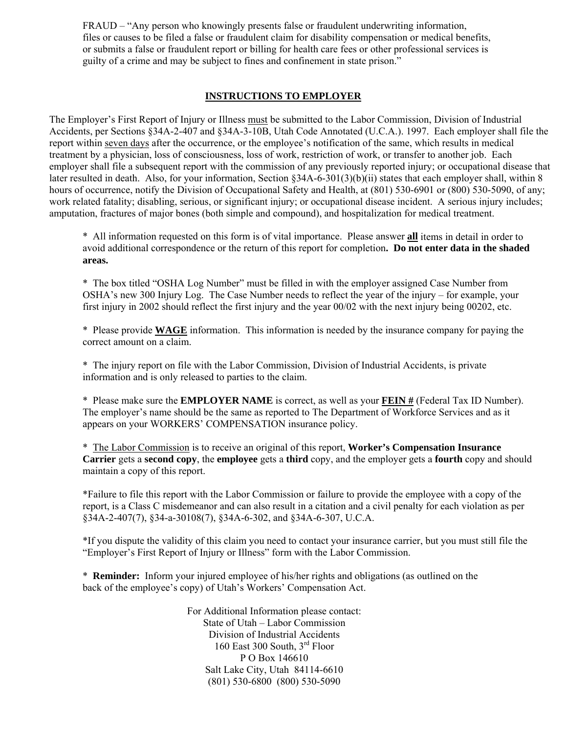FRAUD – "Any person who knowingly presents false or fraudulent underwriting information, files or causes to be filed a false or fraudulent claim for disability compensation or medical benefits, or submits a false or fraudulent report or billing for health care fees or other professional services is guilty of a crime and may be subject to fines and confinement in state prison."

## **INSTRUCTIONS TO EMPLOYER**

The Employer's First Report of Injury or Illness must be submitted to the Labor Commission, Division of Industrial Accidents, per Sections §34A-2-407 and §34A-3-10B, Utah Code Annotated (U.C.A.). 1997. Each employer shall file the report within seven days after the occurrence, or the employee's notification of the same, which results in medical treatment by a physician, loss of consciousness, loss of work, restriction of work, or transfer to another job. Each employer shall file a subsequent report with the commission of any previously reported injury; or occupational disease that later resulted in death. Also, for your information, Section §34A-6-301(3)(b)(ii) states that each employer shall, within 8 hours of occurrence, notify the Division of Occupational Safety and Health, at (801) 530-6901 or (800) 530-5090, of any; work related fatality; disabling, serious, or significant injury; or occupational disease incident. A serious injury includes; amputation, fractures of major bones (both simple and compound), and hospitalization for medical treatment.

\* All information requested on this form is of vital importance. Please answer **all** items in detail in order to avoid additional correspondence or the return of this report for completion**. Do not enter data in the shaded areas.** 

\* The box titled "OSHA Log Number" must be filled in with the employer assigned Case Number from OSHA's new 300 Injury Log. The Case Number needs to reflect the year of the injury – for example, your first injury in 2002 should reflect the first injury and the year 00/02 with the next injury being 00202, etc.

\* Please provide **WAGE** information. This information is needed by the insurance company for paying the correct amount on a claim.

\* The injury report on file with the Labor Commission, Division of Industrial Accidents, is private information and is only released to parties to the claim.

\* Please make sure the **EMPLOYER NAME** is correct, as well as your **FEIN #** (Federal Tax ID Number). The employer's name should be the same as reported to The Department of Workforce Services and as it appears on your WORKERS' COMPENSATION insurance policy.

 \* The Labor Commission is to receive an original of this report, **Worker's Compensation Insurance Carrier** gets a **second copy**, the **employee** gets a **third** copy, and the employer gets a **fourth** copy and should maintain a copy of this report.

\*Failure to file this report with the Labor Commission or failure to provide the employee with a copy of the report, is a Class C misdemeanor and can also result in a citation and a civil penalty for each violation as per §34A-2-407(7), §34-a-30108(7), §34A-6-302, and §34A-6-307, U.C.A.

\*If you dispute the validity of this claim you need to contact your insurance carrier, but you must still file the "Employer's First Report of Injury or Illness" form with the Labor Commission.

 \* **Reminder:** Inform your injured employee of his/her rights and obligations (as outlined on the back of the employee's copy) of Utah's Workers' Compensation Act.

> For Additional Information please contact: State of Utah – Labor Commission Division of Industrial Accidents 160 East 300 South, 3rd Floor P O Box 146610 Salt Lake City, Utah 84114-6610 (801) 530-6800 (800) 530-5090